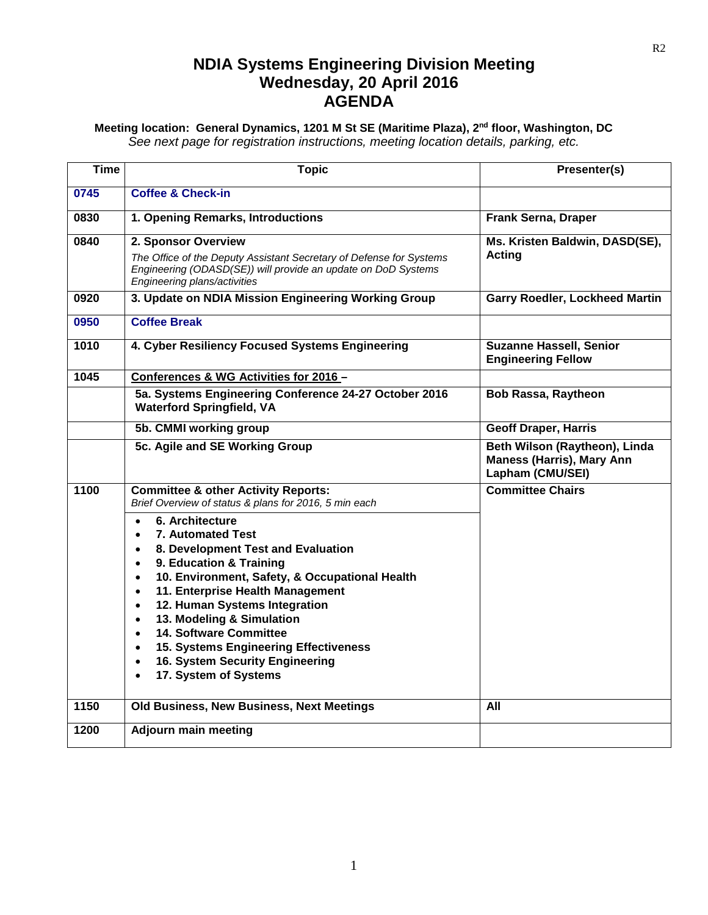### **NDIA Systems Engineering Division Meeting Wednesday, 20 April 2016 AGENDA**

#### **Meeting location: General Dynamics, 1201 M St SE (Maritime Plaza), 2nd floor, Washington, DC** *See next page for registration instructions, meeting location details, parking, etc.*

| <b>Time</b> | <b>Topic</b>                                                                                                                                                                                                                                                                                                                                                                                                                                                                                                               | Presenter(s)                                                                          |
|-------------|----------------------------------------------------------------------------------------------------------------------------------------------------------------------------------------------------------------------------------------------------------------------------------------------------------------------------------------------------------------------------------------------------------------------------------------------------------------------------------------------------------------------------|---------------------------------------------------------------------------------------|
| 0745        | <b>Coffee &amp; Check-in</b>                                                                                                                                                                                                                                                                                                                                                                                                                                                                                               |                                                                                       |
| 0830        | 1. Opening Remarks, Introductions                                                                                                                                                                                                                                                                                                                                                                                                                                                                                          | <b>Frank Serna, Draper</b>                                                            |
| 0840        | 2. Sponsor Overview<br>The Office of the Deputy Assistant Secretary of Defense for Systems<br>Engineering (ODASD(SE)) will provide an update on DoD Systems<br>Engineering plans/activities                                                                                                                                                                                                                                                                                                                                | Ms. Kristen Baldwin, DASD(SE),<br>Acting                                              |
| 0920        | 3. Update on NDIA Mission Engineering Working Group                                                                                                                                                                                                                                                                                                                                                                                                                                                                        | <b>Garry Roedler, Lockheed Martin</b>                                                 |
| 0950        | <b>Coffee Break</b>                                                                                                                                                                                                                                                                                                                                                                                                                                                                                                        |                                                                                       |
| 1010        | 4. Cyber Resiliency Focused Systems Engineering                                                                                                                                                                                                                                                                                                                                                                                                                                                                            | <b>Suzanne Hassell, Senior</b><br><b>Engineering Fellow</b>                           |
| 1045        | Conferences & WG Activities for 2016 -                                                                                                                                                                                                                                                                                                                                                                                                                                                                                     |                                                                                       |
|             | 5a. Systems Engineering Conference 24-27 October 2016<br><b>Waterford Springfield, VA</b>                                                                                                                                                                                                                                                                                                                                                                                                                                  | <b>Bob Rassa, Raytheon</b>                                                            |
|             | 5b. CMMI working group                                                                                                                                                                                                                                                                                                                                                                                                                                                                                                     | <b>Geoff Draper, Harris</b>                                                           |
|             | 5c. Agile and SE Working Group                                                                                                                                                                                                                                                                                                                                                                                                                                                                                             | Beth Wilson (Raytheon), Linda<br><b>Maness (Harris), Mary Ann</b><br>Lapham (CMU/SEI) |
| 1100        | <b>Committee &amp; other Activity Reports:</b><br>Brief Overview of status & plans for 2016, 5 min each                                                                                                                                                                                                                                                                                                                                                                                                                    | <b>Committee Chairs</b>                                                               |
|             | 6. Architecture<br>$\bullet$<br>7. Automated Test<br>8. Development Test and Evaluation<br>$\bullet$<br>9. Education & Training<br>$\bullet$<br>10. Environment, Safety, & Occupational Health<br>$\bullet$<br>11. Enterprise Health Management<br>$\bullet$<br>12. Human Systems Integration<br>$\bullet$<br>13. Modeling & Simulation<br>$\bullet$<br>14. Software Committee<br>$\bullet$<br>15. Systems Engineering Effectiveness<br>$\bullet$<br>16. System Security Engineering<br>$\bullet$<br>17. System of Systems |                                                                                       |
| 1150        | Old Business, New Business, Next Meetings                                                                                                                                                                                                                                                                                                                                                                                                                                                                                  | All                                                                                   |
| 1200        | <b>Adjourn main meeting</b>                                                                                                                                                                                                                                                                                                                                                                                                                                                                                                |                                                                                       |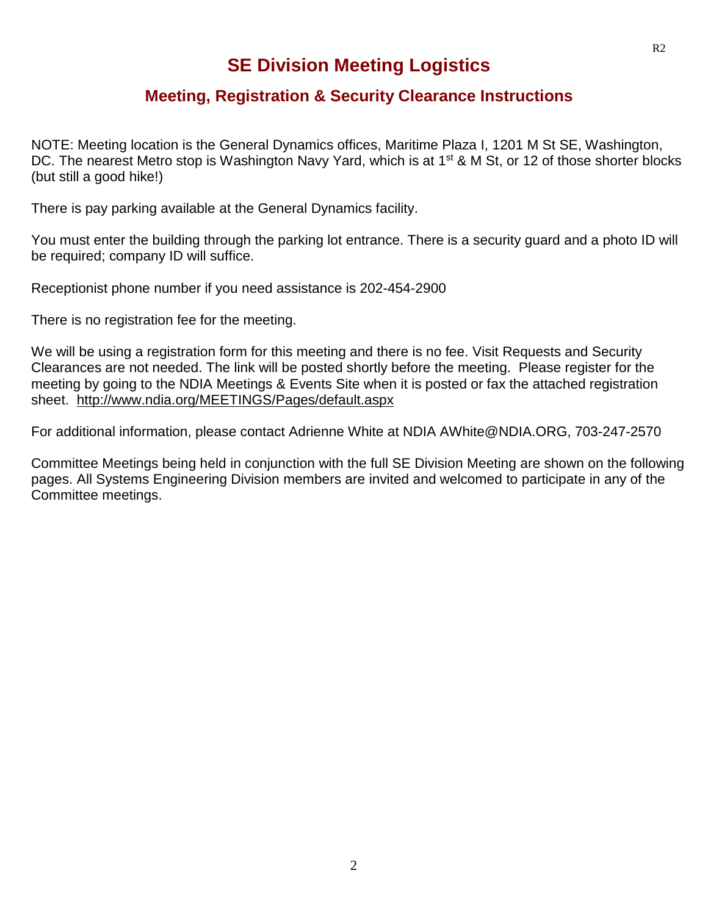## **SE Division Meeting Logistics**

#### **Meeting, Registration & Security Clearance Instructions**

NOTE: Meeting location is the General Dynamics offices, Maritime Plaza I, 1201 M St SE, Washington, DC. The nearest Metro stop is Washington Navy Yard, which is at 1<sup>st</sup> & M St, or 12 of those shorter blocks (but still a good hike!)

There is pay parking available at the General Dynamics facility.

You must enter the building through the parking lot entrance. There is a security guard and a photo ID will be required; company ID will suffice.

Receptionist phone number if you need assistance is 202-454-2900

There is no registration fee for the meeting.

We will be using a registration form for this meeting and there is no fee. Visit Requests and Security Clearances are not needed. The link will be posted shortly before the meeting. Please register for the meeting by going to the NDIA Meetings & Events Site when it is posted or fax the attached registration sheet. <http://www.ndia.org/MEETINGS/Pages/default.aspx>

For additional information, please contact Adrienne White at NDIA AWhite@NDIA.ORG, 703-247-2570

Committee Meetings being held in conjunction with the full SE Division Meeting are shown on the following pages. All Systems Engineering Division members are invited and welcomed to participate in any of the Committee meetings.